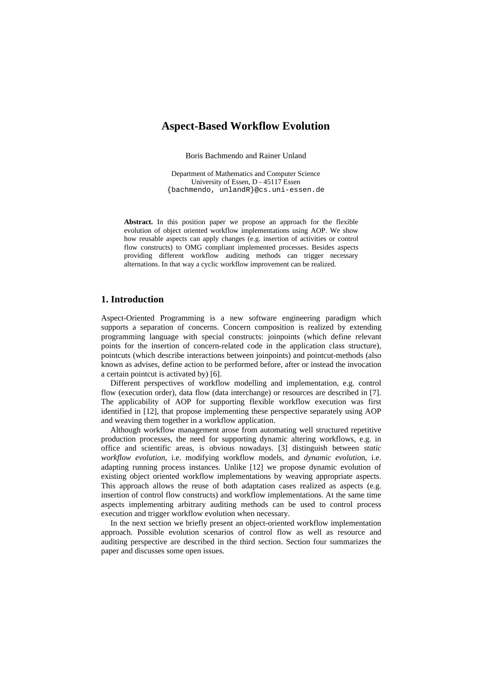# **Aspect-Based Workflow Evolution**

Boris Bachmendo and Rainer Unland

Department of Mathematics and Computer Science University of Essen, D - 45117 Essen {bachmendo, unlandR}@cs.uni-essen.de

**Abstract.** In this position paper we propose an approach for the flexible evolution of object oriented workflow implementations using AOP. We show how reusable aspects can apply changes (e.g. insertion of activities or control flow constructs) to OMG compliant implemented processes. Besides aspects providing different workflow auditing methods can trigger necessary alternations. In that way a cyclic workflow improvement can be realized.

# **1. Introduction**

Aspect-Oriented Programming is a new software engineering paradigm which supports a separation of concerns. Concern composition is realized by extending programming language with special constructs: joinpoints (which define relevant points for the insertion of concern-related code in the application class structure), pointcuts (which describe interactions between joinpoints) and pointcut-methods (also known as advises, define action to be performed before, after or instead the invocation a certain pointcut is activated by) [6].

Different perspectives of workflow modelling and implementation, e.g. control flow (execution order), data flow (data interchange) or resources are described in [7]. The applicability of AOP for supporting flexible workflow execution was first identified in [12], that propose implementing these perspective separately using AOP and weaving them together in a workflow application.

Although workflow management arose from automating well structured repetitive production processes, the need for supporting dynamic altering workflows, e.g. in office and scientific areas, is obvious nowadays. [3] distinguish between *static workflow evolution*, i.e. modifying workflow models, and *dynamic evolutio*n, i.e. adapting running process instances. Unlike [12] we propose dynamic evolution of existing object oriented workflow implementations by weaving appropriate aspects. This approach allows the reuse of both adaptation cases realized as aspects (e.g. insertion of control flow constructs) and workflow implementations. At the same time aspects implementing arbitrary auditing methods can be used to control process execution and trigger workflow evolution when necessary.

In the next section we briefly present an object-oriented workflow implementation approach. Possible evolution scenarios of control flow as well as resource and auditing perspective are described in the third section. Section four summarizes the paper and discusses some open issues.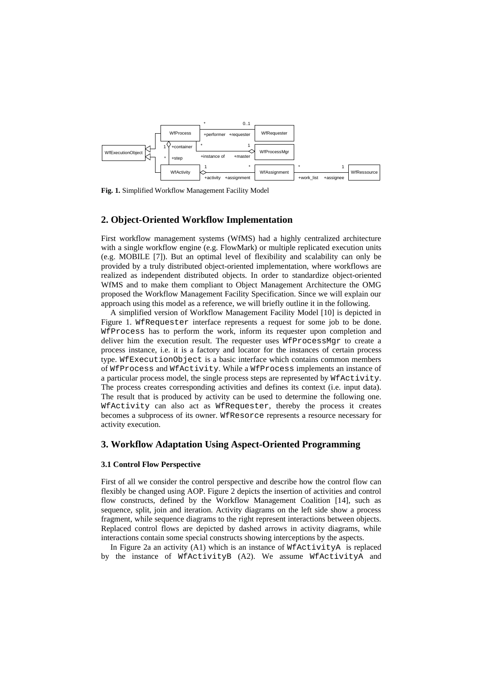

**Fig. 1.** Simplified Workflow Management Facility Model

## **2. Object-Oriented Workflow Implementation**

First workflow management systems (WfMS) had a highly centralized architecture with a single workflow engine (e.g. FlowMark) or multiple replicated execution units (e.g. MOBILE [7]). But an optimal level of flexibility and scalability can only be provided by a truly distributed object-oriented implementation, where workflows are realized as independent distributed objects. In order to standardize object-oriented WfMS and to make them compliant to Object Management Architecture the OMG proposed the Workflow Management Facility Specification. Since we will explain our approach using this model as a reference, we will briefly outline it in the following.

A simplified version of Workflow Management Facility Model [10] is depicted in Figure 1. WfRequester interface represents a request for some job to be done. WfProcess has to perform the work, inform its requester upon completion and deliver him the execution result. The requester uses WfProcessMgr to create a process instance, i.e. it is a factory and locator for the instances of certain process type. WfExecutionObject is a basic interface which contains common members of WfProcess and WfActivity. While a WfProcess implements an instance of a particular process model, the single process steps are represented by WfActivity. The process creates corresponding activities and defines its context (i.e. input data). The result that is produced by activity can be used to determine the following one. WfActivity can also act as WfRequester, thereby the process it creates becomes a subprocess of its owner. WfResorce represents a resource necessary for activity execution.

### **3. Workflow Adaptation Using Aspect-Oriented Programming**

#### **3.1 Control Flow Perspective**

First of all we consider the control perspective and describe how the control flow can flexibly be changed using AOP. Figure 2 depicts the insertion of activities and control flow constructs, defined by the Workflow Management Coalition [14], such as sequence, split, join and iteration. Activity diagrams on the left side show a process fragment, while sequence diagrams to the right represent interactions between objects. Replaced control flows are depicted by dashed arrows in activity diagrams, while interactions contain some special constructs showing interceptions by the aspects.

In Figure 2a an activity (A1) which is an instance of WfActivityA is replaced by the instance of WfActivityB (A2). We assume WfActivityA and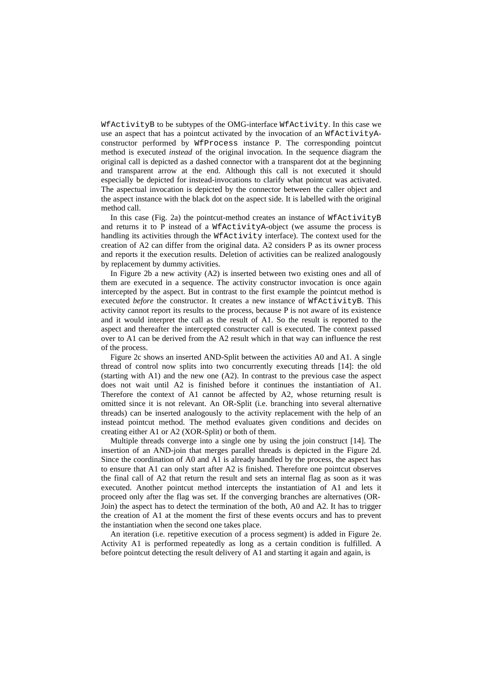WfActivityB to be subtypes of the OMG-interface WfActivity. In this case we use an aspect that has a pointcut activated by the invocation of an WfActivityAconstructor performed by WfProcess instance P. The corresponding pointcut method is executed *instead* of the original invocation. In the sequence diagram the original call is depicted as a dashed connector with a transparent dot at the beginning and transparent arrow at the end. Although this call is not executed it should especially be depicted for instead-invocations to clarify what pointcut was activated. The aspectual invocation is depicted by the connector between the caller object and the aspect instance with the black dot on the aspect side. It is labelled with the original method call.

In this case (Fig. 2a) the pointcut-method creates an instance of  $M$ EActivityB and returns it to P instead of a WfActivityA-object (we assume the process is handling its activities through the WfActivity interface). The context used for the creation of A2 can differ from the original data. A2 considers P as its owner process and reports it the execution results. Deletion of activities can be realized analogously by replacement by dummy activities.

In Figure 2b a new activity (A2) is inserted between two existing ones and all of them are executed in a sequence. The activity constructor invocation is once again intercepted by the aspect. But in contrast to the first example the pointcut method is executed *before* the constructor. It creates a new instance of WfActivityB. This activity cannot report its results to the process, because P is not aware of its existence and it would interpret the call as the result of A1. So the result is reported to the aspect and thereafter the intercepted constructer call is executed. The context passed over to A1 can be derived from the A2 result which in that way can influence the rest of the process.

Figure 2c shows an inserted AND-Split between the activities A0 and A1. A single thread of control now splits into two concurrently executing threads [14]: the old (starting with A1) and the new one (A2). In contrast to the previous case the aspect does not wait until A2 is finished before it continues the instantiation of A1. Therefore the context of A1 cannot be affected by A2, whose returning result is omitted since it is not relevant. An OR-Split (i.e. branching into several alternative threads) can be inserted analogously to the activity replacement with the help of an instead pointcut method. The method evaluates given conditions and decides on creating either A1 or A2 (XOR-Split) or both of them.

Multiple threads converge into a single one by using the join construct [14]. The insertion of an AND-join that merges parallel threads is depicted in the Figure 2d. Since the coordination of A0 and A1 is already handled by the process, the aspect has to ensure that A1 can only start after A2 is finished. Therefore one pointcut observes the final call of A2 that return the result and sets an internal flag as soon as it was executed. Another pointcut method intercepts the instantiation of A1 and lets it proceed only after the flag was set. If the converging branches are alternatives (OR-Join) the aspect has to detect the termination of the both, A0 and A2. It has to trigger the creation of A1 at the moment the first of these events occurs and has to prevent the instantiation when the second one takes place.

An iteration (i.e. repetitive execution of a process segment) is added in Figure 2e. Activity A1 is performed repeatedly as long as a certain condition is fulfilled. A before pointcut detecting the result delivery of A1 and starting it again and again, is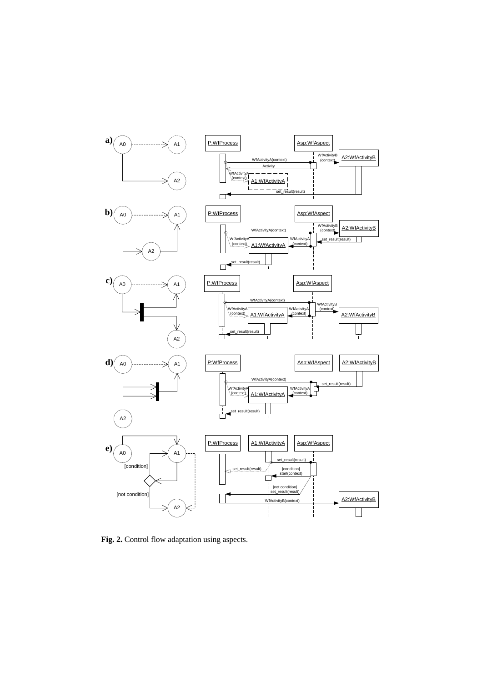

**Fig. 2.** Control flow adaptation using aspects.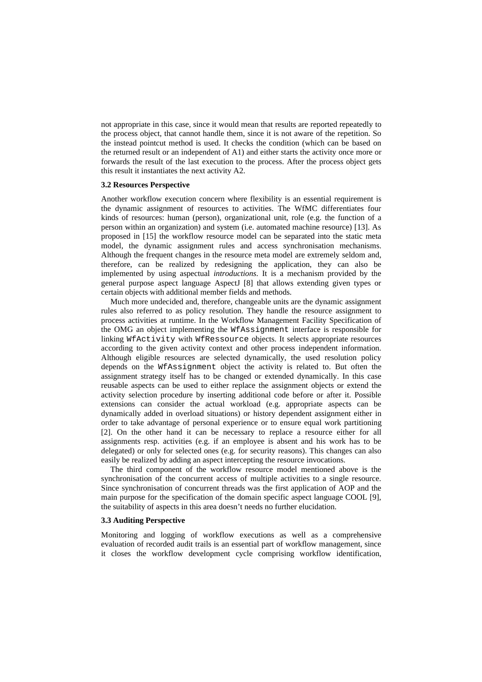not appropriate in this case, since it would mean that results are reported repeatedly to the process object, that cannot handle them, since it is not aware of the repetition. So the instead pointcut method is used. It checks the condition (which can be based on the returned result or an independent of A1) and either starts the activity once more or forwards the result of the last execution to the process. After the process object gets this result it instantiates the next activity A2.

#### **3.2 Resources Perspective**

Another workflow execution concern where flexibility is an essential requirement is the dynamic assignment of resources to activities. The WfMC differentiates four kinds of resources: human (person), organizational unit, role (e.g. the function of a person within an organization) and system (i.e. automated machine resource) [13]. As proposed in [15] the workflow resource model can be separated into the static meta model, the dynamic assignment rules and access synchronisation mechanisms. Although the frequent changes in the resource meta model are extremely seldom and, therefore, can be realized by redesigning the application, they can also be implemented by using aspectual *introductions*. It is a mechanism provided by the general purpose aspect language AspectJ [8] that allows extending given types or certain objects with additional member fields and methods.

Much more undecided and, therefore, changeable units are the dynamic assignment rules also referred to as policy resolution. They handle the resource assignment to process activities at runtime. In the Workflow Management Facility Specification of the OMG an object implementing the WfAssignment interface is responsible for linking WfActivity with WfRessource objects. It selects appropriate resources according to the given activity context and other process independent information. Although eligible resources are selected dynamically, the used resolution policy depends on the WfAssignment object the activity is related to. But often the assignment strategy itself has to be changed or extended dynamically. In this case reusable aspects can be used to either replace the assignment objects or extend the activity selection procedure by inserting additional code before or after it. Possible extensions can consider the actual workload (e.g. appropriate aspects can be dynamically added in overload situations) or history dependent assignment either in order to take advantage of personal experience or to ensure equal work partitioning [2]. On the other hand it can be necessary to replace a resource either for all assignments resp. activities (e.g. if an employee is absent and his work has to be delegated) or only for selected ones (e.g. for security reasons). This changes can also easily be realized by adding an aspect intercepting the resource invocations.

The third component of the workflow resource model mentioned above is the synchronisation of the concurrent access of multiple activities to a single resource. Since synchronisation of concurrent threads was the first application of AOP and the main purpose for the specification of the domain specific aspect language COOL [9], the suitability of aspects in this area doesn't needs no further elucidation.

### **3.3 Auditing Perspective**

Monitoring and logging of workflow executions as well as a comprehensive evaluation of recorded audit trails is an essential part of workflow management, since it closes the workflow development cycle comprising workflow identification,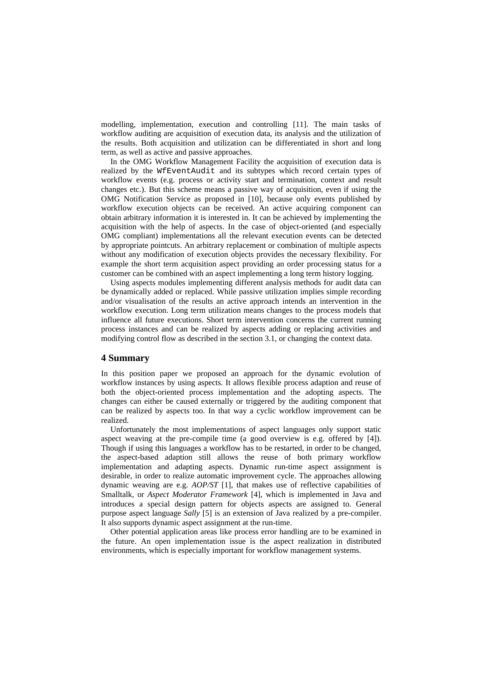modelling, implementation, execution and controlling [11]. The main tasks of workflow auditing are acquisition of execution data, its analysis and the utilization of the results. Both acquisition and utilization can be differentiated in short and long term, as well as active and passive approaches.

In the OMG Workflow Management Facility the acquisition of execution data is realized by the WfEventAudit and its subtypes which record certain types of workflow events (e.g. process or activity start and termination, context and result changes etc.). But this scheme means a passive way of acquisition, even if using the OMG Notification Service as proposed in [10], because only events published by workflow execution objects can be received. An active acquiring component can obtain arbitrary information it is interested in. It can be achieved by implementing the acquisition with the help of aspects. In the case of object-oriented (and especially OMG compliant) implementations all the relevant execution events can be detected by appropriate pointcuts. An arbitrary replacement or combination of multiple aspects without any modification of execution objects provides the necessary flexibility. For example the short term acquisition aspect providing an order processing status for a customer can be combined with an aspect implementing a long term history logging.

Using aspects modules implementing different analysis methods for audit data can be dynamically added or replaced. While passive utilization implies simple recording and/or visualisation of the results an active approach intends an intervention in the workflow execution. Long term utilization means changes to the process models that influence all future executions. Short term intervention concerns the current running process instances and can be realized by aspects adding or replacing activities and modifying control flow as described in the section 3.1, or changing the context data.

### **4 Summary**

In this position paper we proposed an approach for the dynamic evolution of workflow instances by using aspects. It allows flexible process adaption and reuse of both the object-oriented process implementation and the adopting aspects. The changes can either be caused externally or triggered by the auditing component that can be realized by aspects too. In that way a cyclic workflow improvement can be realized.

Unfortunately the most implementations of aspect languages only support static aspect weaving at the pre-compile time (a good overview is e.g. offered by [4]). Though if using this languages a workflow has to be restarted, in order to be changed, the aspect-based adaption still allows the reuse of both primary workflow implementation and adapting aspects. Dynamic run-time aspect assignment is desirable, in order to realize automatic improvement cycle. The approaches allowing dynamic weaving are e.g. *AOP/ST* [1], that makes use of reflective capabilities of Smalltalk, or *Aspect Moderator Framework* [4], which is implemented in Java and introduces a special design pattern for objects aspects are assigned to. General purpose aspect language *Sally* [5] is an extension of Java realized by a pre-compiler. It also supports dynamic aspect assignment at the run-time.

Other potential application areas like process error handling are to be examined in the future. An open implementation issue is the aspect realization in distributed environments, which is especially important for workflow management systems.